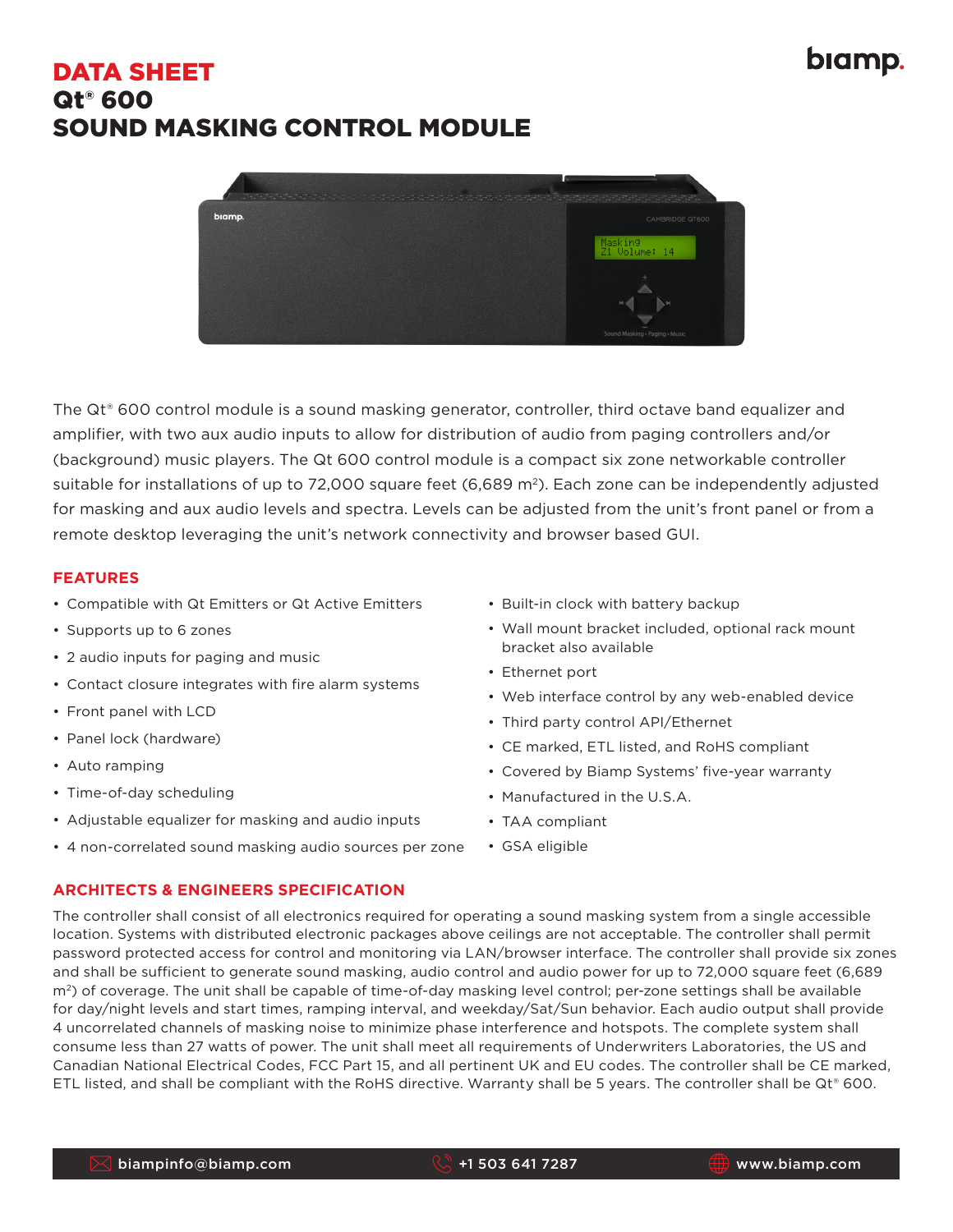# DATA SHEET Qt® 600 SOUND MASKING CONTROL MODULE



The Qt® 600 control module is a sound masking generator, controller, third octave band equalizer and amplifier, with two aux audio inputs to allow for distribution of audio from paging controllers and/or (background) music players. The Qt 600 control module is a compact six zone networkable controller suitable for installations of up to 72,000 square feet (6,689  $m<sup>2</sup>$ ). Each zone can be independently adjusted for masking and aux audio levels and spectra. Levels can be adjusted from the unit's front panel or from a remote desktop leveraging the unit's network connectivity and browser based GUI.

### **FEATURES**

- Compatible with Qt Emitters or Qt Active Emitters
- Supports up to 6 zones
- 2 audio inputs for paging and music
- Contact closure integrates with fire alarm systems
- Front panel with LCD
- Panel lock (hardware)
- Auto ramping
- Time-of-day scheduling
- Adjustable equalizer for masking and audio inputs
- 4 non-correlated sound masking audio sources per zone
- Built-in clock with battery backup
- Wall mount bracket included, optional rack mount bracket also available
- Ethernet port
- Web interface control by any web-enabled device
- Third party control API/Ethernet
- CE marked, ETL listed, and RoHS compliant
- Covered by Biamp Systems' five-year warranty
- Manufactured in the U.S.A.
- TAA compliant
- GSA eligible

#### **ARCHITECTS & ENGINEERS SPECIFICATION**

The controller shall consist of all electronics required for operating a sound masking system from a single accessible location. Systems with distributed electronic packages above ceilings are not acceptable. The controller shall permit password protected access for control and monitoring via LAN/browser interface. The controller shall provide six zones and shall be sufficient to generate sound masking, audio control and audio power for up to 72,000 square feet (6,689 m<sup>2</sup>) of coverage. The unit shall be capable of time-of-day masking level control; per-zone settings shall be available for day/night levels and start times, ramping interval, and weekday/Sat/Sun behavior. Each audio output shall provide 4 uncorrelated channels of masking noise to minimize phase interference and hotspots. The complete system shall consume less than 27 watts of power. The unit shall meet all requirements of Underwriters Laboratories, the US and Canadian National Electrical Codes, FCC Part 15, and all pertinent UK and EU codes. The controller shall be CE marked, ETL listed, and shall be compliant with the RoHS directive. Warranty shall be 5 years. The controller shall be Qt® 600.